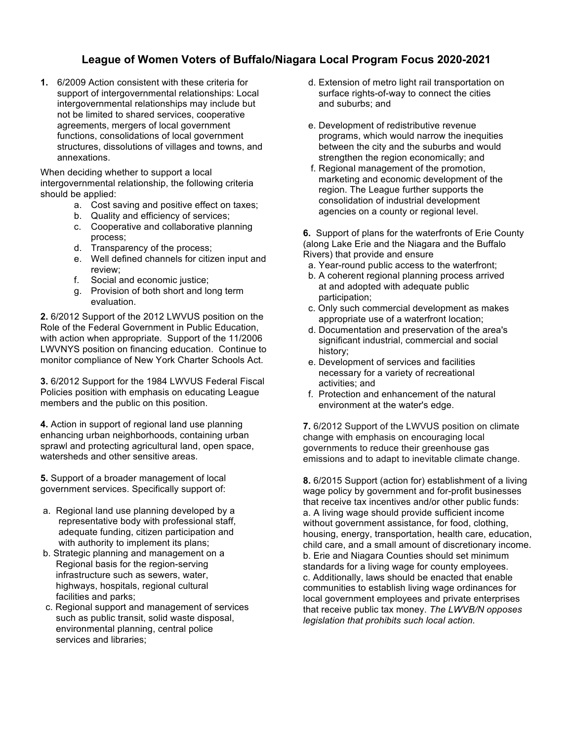## **League of Women Voters of Buffalo/Niagara Local Program Focus 2020-2021**

**1.** 6/2009 Action consistent with these criteria for support of intergovernmental relationships: Local intergovernmental relationships may include but not be limited to shared services, cooperative agreements, mergers of local government functions, consolidations of local government structures, dissolutions of villages and towns, and annexations.

When deciding whether to support a local intergovernmental relationship, the following criteria should be applied:

- a. Cost saving and positive effect on taxes;
- b. Quality and efficiency of services;
- c. Cooperative and collaborative planning process;
- d. Transparency of the process;
- e. Well defined channels for citizen input and review;
- f. Social and economic justice;
- g. Provision of both short and long term evaluation.

**2.** 6/2012 Support of the 2012 LWVUS position on the Role of the Federal Government in Public Education, with action when appropriate. Support of the 11/2006 LWVNYS position on financing education. Continue to monitor compliance of New York Charter Schools Act.

**3.** 6/2012 Support for the 1984 LWVUS Federal Fiscal Policies position with emphasis on educating League members and the public on this position.

**4.** Action in support of regional land use planning enhancing urban neighborhoods, containing urban sprawl and protecting agricultural land, open space, watersheds and other sensitive areas.

**5.** Support of a broader management of local government services. Specifically support of:

- a. Regional land use planning developed by a representative body with professional staff, adequate funding, citizen participation and with authority to implement its plans;
- b. Strategic planning and management on a Regional basis for the region-serving infrastructure such as sewers, water, highways, hospitals, regional cultural facilities and parks;
- c. Regional support and management of services such as public transit, solid waste disposal, environmental planning, central police services and libraries;
- d. Extension of metro light rail transportation on surface rights-of-way to connect the cities and suburbs; and
- e. Development of redistributive revenue programs, which would narrow the inequities between the city and the suburbs and would strengthen the region economically; and
- f. Regional management of the promotion, marketing and economic development of the region. The League further supports the consolidation of industrial development agencies on a county or regional level.

**6.** Support of plans for the waterfronts of Erie County (along Lake Erie and the Niagara and the Buffalo Rivers) that provide and ensure

- a. Year-round public access to the waterfront;
- b. A coherent regional planning process arrived at and adopted with adequate public participation;
- c. Only such commercial development as makes appropriate use of a waterfront location;
- d. Documentation and preservation of the area's significant industrial, commercial and social history;
- e. Development of services and facilities necessary for a variety of recreational activities; and
- f. Protection and enhancement of the natural environment at the water's edge.

**7.** 6/2012 Support of the LWVUS position on climate change with emphasis on encouraging local governments to reduce their greenhouse gas emissions and to adapt to inevitable climate change.

**8.** 6/2015 Support (action for) establishment of a living wage policy by government and for-profit businesses that receive tax incentives and/or other public funds: a. A living wage should provide sufficient income without government assistance, for food, clothing, housing, energy, transportation, health care, education, child care, and a small amount of discretionary income. b. Erie and Niagara Counties should set minimum standards for a living wage for county employees. c. Additionally, laws should be enacted that enable communities to establish living wage ordinances for local government employees and private enterprises that receive public tax money. *The LWVB/N opposes legislation that prohibits such local action.*